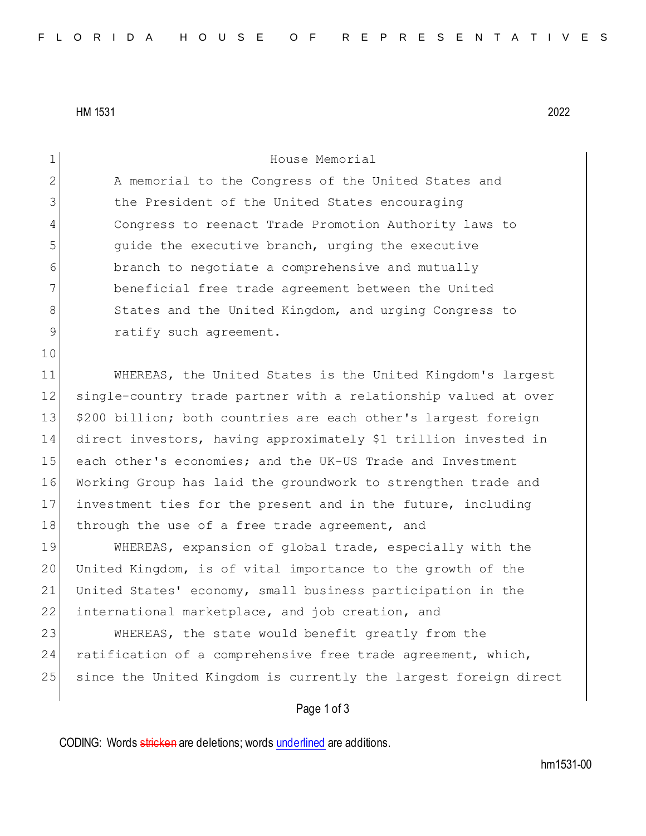HM 1531 2022

| 1            | House Memorial                                                   |
|--------------|------------------------------------------------------------------|
| $\mathbf{2}$ | A memorial to the Congress of the United States and              |
| 3            | the President of the United States encouraging                   |
| 4            | Congress to reenact Trade Promotion Authority laws to            |
| 5            | quide the executive branch, urging the executive                 |
| 6            | branch to negotiate a comprehensive and mutually                 |
| 7            | beneficial free trade agreement between the United               |
| 8            | States and the United Kingdom, and urging Congress to            |
| 9            | ratify such agreement.                                           |
| 10           |                                                                  |
| 11           | WHEREAS, the United States is the United Kingdom's largest       |
| 12           | single-country trade partner with a relationship valued at over  |
| 13           | \$200 billion; both countries are each other's largest foreign   |
| 14           | direct investors, having approximately \$1 trillion invested in  |
| 15           | each other's economies; and the UK-US Trade and Investment       |
| 16           | Working Group has laid the groundwork to strengthen trade and    |
| 17           | investment ties for the present and in the future, including     |
| 18           | through the use of a free trade agreement, and                   |
| 19           | WHEREAS, expansion of global trade, especially with the          |
| 20           | United Kingdom, is of vital importance to the growth of the      |
| 21           | United States' economy, small business participation in the      |
| 22           | international marketplace, and job creation, and                 |
| 23           | WHEREAS, the state would benefit greatly from the                |
| 24           | ratification of a comprehensive free trade agreement, which,     |
| 25           | since the United Kingdom is currently the largest foreign direct |
|              | Page 1 of 3                                                      |
|              |                                                                  |

CODING: Words stricken are deletions; words underlined are additions.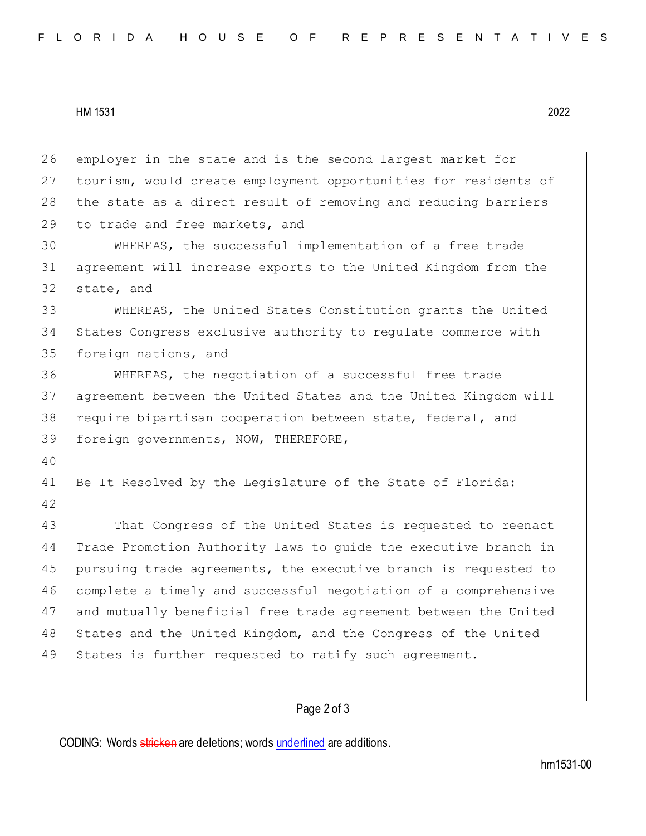HM 1531 2022

26 employer in the state and is the second largest market for 27 tourism, would create employment opportunities for residents of 28 the state as a direct result of removing and reducing barriers 29 to trade and free markets, and

30 WHEREAS, the successful implementation of a free trade 31 agreement will increase exports to the United Kingdom from the 32 state, and

33 WHEREAS, the United States Constitution grants the United 34 States Congress exclusive authority to regulate commerce with 35 foreign nations, and

 WHEREAS, the negotiation of a successful free trade agreement between the United States and the United Kingdom will 38 require bipartisan cooperation between state, federal, and foreign governments, NOW, THEREFORE,

40

42

41 Be It Resolved by the Legislature of the State of Florida:

43 That Congress of the United States is requested to reenact 44 Trade Promotion Authority laws to guide the executive branch in 45 pursuing trade agreements, the executive branch is requested to 46 complete a timely and successful negotiation of a comprehensive 47 and mutually beneficial free trade agreement between the United 48 States and the United Kingdom, and the Congress of the United 49 States is further requested to ratify such agreement.

## Page 2 of 3

CODING: Words stricken are deletions; words underlined are additions.